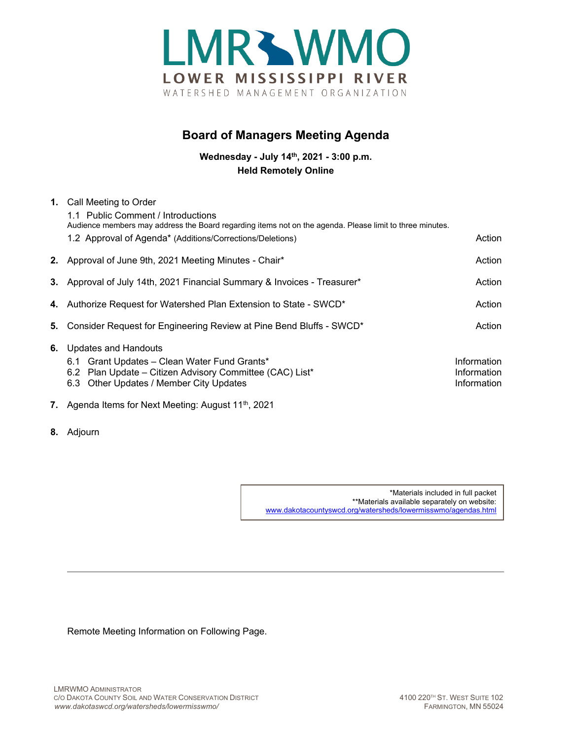

## **Board of Managers Meeting Agenda**

**Wednesday - July 14th, 2021 - 3:00 p.m. Held Remotely Online**

| 1. | Call Meeting to Order<br>1.1 Public Comment / Introductions<br>Audience members may address the Board regarding items not on the agenda. Please limit to three minutes.<br>1.2 Approval of Agenda* (Additions/Corrections/Deletions) | Action                                    |
|----|--------------------------------------------------------------------------------------------------------------------------------------------------------------------------------------------------------------------------------------|-------------------------------------------|
|    | 2. Approval of June 9th, 2021 Meeting Minutes - Chair*                                                                                                                                                                               | Action                                    |
|    | 3. Approval of July 14th, 2021 Financial Summary & Invoices - Treasurer*                                                                                                                                                             | Action                                    |
|    | 4. Authorize Request for Watershed Plan Extension to State - SWCD*                                                                                                                                                                   | Action                                    |
| 5. | Consider Request for Engineering Review at Pine Bend Bluffs - SWCD*                                                                                                                                                                  | Action                                    |
| 6. | Updates and Handouts<br>6.1 Grant Updates - Clean Water Fund Grants*<br>6.2 Plan Update - Citizen Advisory Committee (CAC) List*<br>6.3 Other Updates / Member City Updates                                                          | Information<br>Information<br>Information |

- **7.** Agenda Items for Next Meeting: August 11<sup>th</sup>, 2021
- **8.** Adjourn

\*Materials included in full packet \*\*Materials available separately on website: [www.dakotacountyswcd.org/watersheds/lowermisswmo/agendas.html](http://www.dakotacountyswcd.org/watersheds/lowermisswmo/agendas.html)

Remote Meeting Information on Following Page.